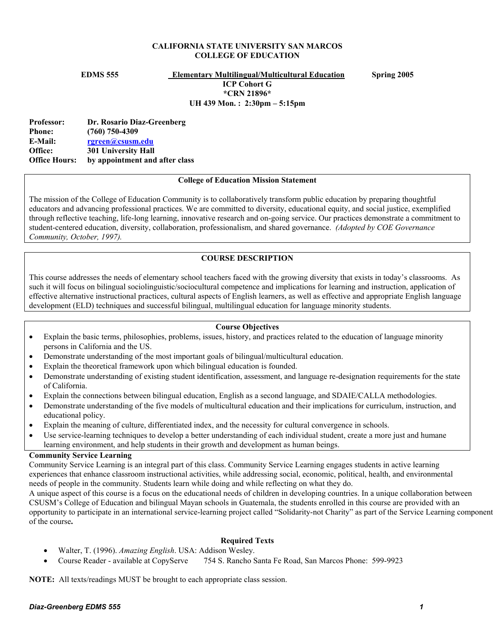#### **CALIFORNIA STATE UNIVERSITY SAN MARCOS COLLEGE OF EDUCATION**

**EDMS 555 Elementary Multilingual/Multicultural Education Spring 2005** 

**ICP Cohort G \*CRN 21896\* UH 439 Mon. : 2:30pm – 5:15pm** 

**Professor: Dr. Rosario Diaz-Greenberg Phone: (760) 750-4309 E-Mail: rgreen@csusm.edu Office: 301 University Hall Office Hours: by appointment and after class** 

## **College of Education Mission Statement**

The mission of the College of Education Community is to collaboratively transform public education by preparing thoughtful educators and advancing professional practices. We are committed to diversity, educational equity, and social justice, exemplified through reflective teaching, life-long learning, innovative research and on-going service. Our practices demonstrate a commitment to student-centered education, diversity, collaboration, professionalism, and shared governance. *(Adopted by COE Governance Community, October, 1997).* 

## **COURSE DESCRIPTION**

This course addresses the needs of elementary school teachers faced with the growing diversity that exists in today's classrooms. As such it will focus on bilingual sociolinguistic/sociocultural competence and implications for learning and instruction, application of effective alternative instructional practices, cultural aspects of English learners, as well as effective and appropriate English language development (ELD) techniques and successful bilingual, multilingual education for language minority students.

## **Course Objectives**

- Explain the basic terms, philosophies, problems, issues, history, and practices related to the education of language minority persons in California and the US.
- Demonstrate understanding of the most important goals of bilingual/multicultural education.
- Explain the theoretical framework upon which bilingual education is founded.
- Demonstrate understanding of existing student identification, assessment, and language re-designation requirements for the state of California.
- Explain the connections between bilingual education, English as a second language, and SDAIE/CALLA methodologies.
- Demonstrate understanding of the five models of multicultural education and their implications for curriculum, instruction, and educational policy.
- Explain the meaning of culture, differentiated index, and the necessity for cultural convergence in schools.
- Use service-learning techniques to develop a better understanding of each individual student, create a more just and humane learning environment, and help students in their growth and development as human beings.

# **Community Service Learning**

Community Service Learning is an integral part of this class. Community Service Learning engages students in active learning experiences that enhance classroom instructional activities, while addressing social, economic, political, health, and environmental needs of people in the community. Students learn while doing and while reflecting on what they do.

A unique aspect of this course is a focus on the educational needs of children in developing countries. In a unique collaboration between CSUSM's College of Education and bilingual Mayan schools in Guatemala, the students enrolled in this course are provided with an opportunity to participate in an international service-learning project called "Solidarity-not Charity" as part of the Service Learning component of the course**.** 

#### **Required Texts**

- Walter, T. (1996). *Amazing English*. USA: Addison Wesley.
- Course Reader available at CopyServe 754 S. Rancho Santa Fe Road, San Marcos Phone: 599-9923

**NOTE:** All texts/readings MUST be brought to each appropriate class session.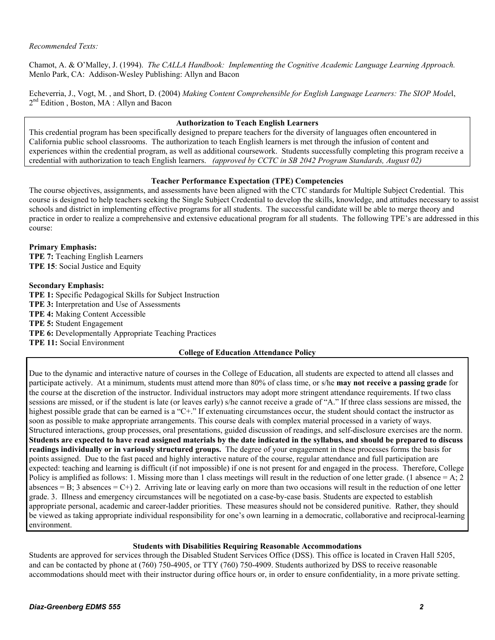Chamot, A. & O'Malley, J. (1994). *The CALLA Handbook: Implementing the Cognitive Academic Language Learning Approach.* Menlo Park, CA: Addison-Wesley Publishing: Allyn and Bacon

Echeverria, J., Vogt, M. , and Short, D. (2004) *Making Content Comprehensible for English Language Learners: The SIOP Mode*l, 2<sup>nd</sup> Edition, Boston, MA: Allyn and Bacon

#### **Authorization to Teach English Learners**

This credential program has been specifically designed to prepare teachers for the diversity of languages often encountered in California public school classrooms. The authorization to teach English learners is met through the infusion of content and experiences within the credential program, as well as additional coursework. Students successfully completing this program receive a credential with authorization to teach English learners. *(approved by CCTC in SB 2042 Program Standards, August 02)*

#### **Teacher Performance Expectation (TPE) Competencies**

The course objectives, assignments, and assessments have been aligned with the CTC standards for Multiple Subject Credential. This course is designed to help teachers seeking the Single Subject Credential to develop the skills, knowledge, and attitudes necessary to assist schools and district in implementing effective programs for all students. The successful candidate will be able to merge theory and practice in order to realize a comprehensive and extensive educational program for all students. The following TPE's are addressed in this course:

**Primary Emphasis: TPE 7:** Teaching English Learners **TPE 15**: Social Justice and Equity

#### **Secondary Emphasis:**

**TPE 1:** Specific Pedagogical Skills for Subject Instruction **TPE 3:** Interpretation and Use of Assessments **TPE 4:** Making Content Accessible **TPE 5:** Student Engagement **TPE 6:** Developmentally Appropriate Teaching Practices **TPE 11:** Social Environment

#### **College of Education Attendance Policy**

Due to the dynamic and interactive nature of courses in the College of Education, all students are expected to attend all classes and participate actively. At a minimum, students must attend more than 80% of class time, or s/he **may not receive a passing grade** for the course at the discretion of the instructor. Individual instructors may adopt more stringent attendance requirements. If two class sessions are missed, or if the student is late (or leaves early) s/he cannot receive a grade of "A." If three class sessions are missed, the highest possible grade that can be earned is a "C+." If extenuating circumstances occur, the student should contact the instructor as soon as possible to make appropriate arrangements. This course deals with complex material processed in a variety of ways. Structured interactions, group processes, oral presentations, guided discussion of readings, and self-disclosure exercises are the norm. **Students are expected to have read assigned materials by the date indicated in the syllabus, and should be prepared to discuss readings individually or in variously structured groups.** The degree of your engagement in these processes forms the basis for points assigned. Due to the fast paced and highly interactive nature of the course, regular attendance and full participation are expected: teaching and learning is difficult (if not impossible) if one is not present for and engaged in the process. Therefore, College Policy is amplified as follows: 1. Missing more than 1 class meetings will result in the reduction of one letter grade. (1 absence = A; 2 absences = B; 3 absences = C+) 2. Arriving late or leaving early on more than two occasions will result in the reduction of one letter grade. 3. Illness and emergency circumstances will be negotiated on a case-by-case basis. Students are expected to establish appropriate personal, academic and career-ladder priorities. These measures should not be considered punitive. Rather, they should be viewed as taking appropriate individual responsibility for one's own learning in a democratic, collaborative and reciprocal-learning environment.

#### **Students with Disabilities Requiring Reasonable Accommodations**

Students are approved for services through the Disabled Student Services Office (DSS). This office is located in Craven Hall 5205, and can be contacted by phone at (760) 750-4905, or TTY (760) 750-4909. Students authorized by DSS to receive reasonable accommodations should meet with their instructor during office hours or, in order to ensure confidentiality, in a more private setting.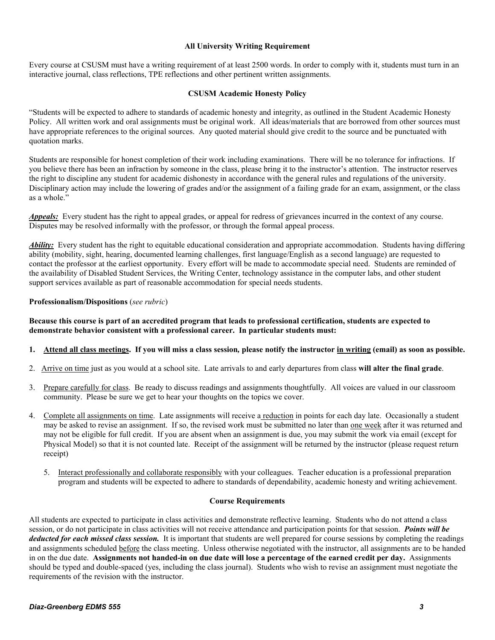#### **All University Writing Requirement**

Every course at CSUSM must have a writing requirement of at least 2500 words. In order to comply with it, students must turn in an interactive journal, class reflections, TPE reflections and other pertinent written assignments.

#### **CSUSM Academic Honesty Policy**

"Students will be expected to adhere to standards of academic honesty and integrity, as outlined in the Student Academic Honesty Policy. All written work and oral assignments must be original work. All ideas/materials that are borrowed from other sources must have appropriate references to the original sources. Any quoted material should give credit to the source and be punctuated with quotation marks.

Students are responsible for honest completion of their work including examinations. There will be no tolerance for infractions. If you believe there has been an infraction by someone in the class, please bring it to the instructor's attention. The instructor reserves the right to discipline any student for academic dishonesty in accordance with the general rules and regulations of the university. Disciplinary action may include the lowering of grades and/or the assignment of a failing grade for an exam, assignment, or the class as a whole."

*Appeals:* Every student has the right to appeal grades, or appeal for redress of grievances incurred in the context of any course. Disputes may be resolved informally with the professor, or through the formal appeal process.

*Ability:* Every student has the right to equitable educational consideration and appropriate accommodation. Students having differing ability (mobility, sight, hearing, documented learning challenges, first language/English as a second language) are requested to contact the professor at the earliest opportunity. Every effort will be made to accommodate special need. Students are reminded of the availability of Disabled Student Services, the Writing Center, technology assistance in the computer labs, and other student support services available as part of reasonable accommodation for special needs students.

#### **Professionalism/Dispositions** (*see rubric*)

## **Because this course is part of an accredited program that leads to professional certification, students are expected to demonstrate behavior consistent with a professional career. In particular students must:**

## **1. Attend all class meetings. If you will miss a class session***,* **please notify the instructor in writing (email) as soon as possible.**

- 2. Arrive on time just as you would at a school site. Late arrivals to and early departures from class **will alter the final grade**.
- 3. Prepare carefully for class. Be ready to discuss readings and assignments thoughtfully. All voices are valued in our classroom community. Please be sure we get to hear your thoughts on the topics we cover.
- 4. Complete all assignments on time. Late assignments will receive a reduction in points for each day late. Occasionally a student may be asked to revise an assignment. If so, the revised work must be submitted no later than one week after it was returned and may not be eligible for full credit. If you are absent when an assignment is due, you may submit the work via email (except for Physical Model) so that it is not counted late. Receipt of the assignment will be returned by the instructor (please request return receipt)
	- 5. Interact professionally and collaborate responsibly with your colleagues. Teacher education is a professional preparation program and students will be expected to adhere to standards of dependability, academic honesty and writing achievement.

#### **Course Requirements**

All students are expected to participate in class activities and demonstrate reflective learning. Students who do not attend a class session, or do not participate in class activities will not receive attendance and participation points for that session. *Points will be deducted for each missed class session.* It is important that students are well prepared for course sessions by completing the readings and assignments scheduled before the class meeting. Unless otherwise negotiated with the instructor, all assignments are to be handed in on the due date. **Assignments not handed-in on due date will lose a percentage of the earned credit per day.** Assignments should be typed and double-spaced (yes, including the class journal). Students who wish to revise an assignment must negotiate the requirements of the revision with the instructor.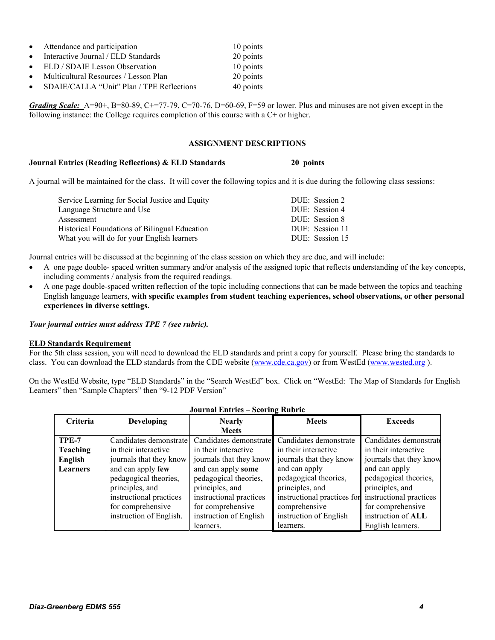|           | • Attendance and participation            | 10 points |
|-----------|-------------------------------------------|-----------|
| $\bullet$ | Interactive Journal / ELD Standards       | 20 points |
| $\bullet$ | ELD / SDAIE Lesson Observation            | 10 points |
| $\bullet$ | Multicultural Resources / Lesson Plan     | 20 points |
| $\bullet$ | SDAIE/CALLA "Unit" Plan / TPE Reflections | 40 points |

*Grading Scale:* A=90+, B=80-89, C+=77-79, C=70-76, D=60-69, F=59 or lower. Plus and minuses are not given except in the following instance: the College requires completion of this course with a C+ or higher.

## **ASSIGNMENT DESCRIPTIONS**

#### **Journal Entries (Reading Reflections) & ELD Standards 20 points**

A journal will be maintained for the class. It will cover the following topics and it is due during the following class sessions:

| Service Learning for Social Justice and Equity       | DUE: Session 2  |
|------------------------------------------------------|-----------------|
| Language Structure and Use                           | DUE: Session 4  |
| Assessment                                           | DUE: Session 8  |
| <b>Historical Foundations of Bilingual Education</b> | DUE: Session 11 |
| What you will do for your English learners           | DUE: Session 15 |

Journal entries will be discussed at the beginning of the class session on which they are due, and will include:

- A one page double- spaced written summary and/or analysis of the assigned topic that reflects understanding of the key concepts, including comments / analysis from the required readings.
- A one page double-spaced written reflection of the topic including connections that can be made between the topics and teaching English language learners, **with specific examples from student teaching experiences, school observations, or other personal experiences in diverse settings.**

*Your journal entries must address TPE 7 (see rubric).* 

#### **ELD Standards Requirement**

For the 5th class session, you will need to download the ELD standards and print a copy for yourself. Please bring the standards to class. You can download the ELD standards from the CDE website (www.cde.ca.gov) or from WestEd (www.wested.org ).

On the WestEd Website, type "ELD Standards" in the "Search WestEd" box. Click on "WestEd: The Map of Standards for English Learners" then "Sample Chapters" then "9-12 PDF Version"

| ovul nai Entro<br><b>DUBLING IMPLIE</b> |                         |                         |                             |                         |
|-----------------------------------------|-------------------------|-------------------------|-----------------------------|-------------------------|
| Criteria                                | <b>Developing</b>       | <b>Nearly</b>           | <b>Meets</b>                | <b>Exceeds</b>          |
|                                         |                         | <b>Meets</b>            |                             |                         |
| TPE-7                                   | Candidates demonstrate  | Candidates demonstrate  | Candidates demonstrate      | Candidates demonstrate  |
| <b>Teaching</b>                         | in their interactive    | in their interactive    | in their interactive        | in their interactive    |
| English                                 | journals that they know | journals that they know | journals that they know     | journals that they know |
| Learners                                | and can apply few       | and can apply some      | and can apply               | and can apply           |
|                                         | pedagogical theories,   | pedagogical theories,   | pedagogical theories,       | pedagogical theories,   |
|                                         | principles, and         | principles, and         | principles, and             | principles, and         |
|                                         | instructional practices | instructional practices | instructional practices for | instructional practices |
|                                         | for comprehensive       | for comprehensive       | comprehensive               | for comprehensive       |
|                                         | instruction of English. | instruction of English  | instruction of English      | instruction of ALL      |
|                                         |                         | learners.               | learners.                   | English learners.       |

## **Journal Entries – Scoring Rubric**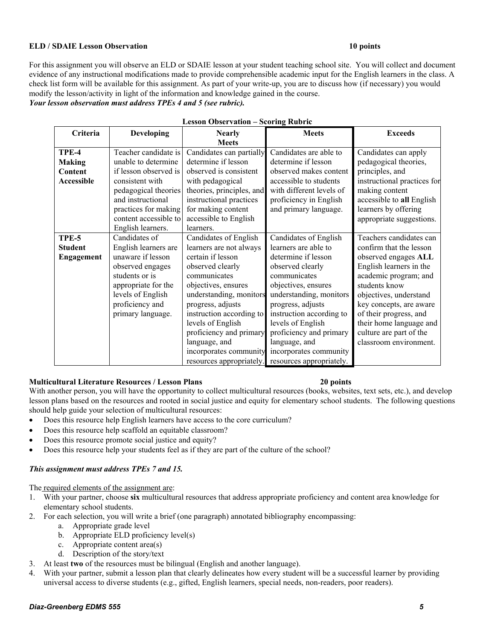## **ELD / SDAIE Lesson Observation 10 points 10 points 10 points**

For this assignment you will observe an ELD or SDAIE lesson at your student teaching school site. You will collect and document evidence of any instructional modifications made to provide comprehensible academic input for the English learners in the class. A check list form will be available for this assignment. As part of your write-up, you are to discuss how (if necessary) you would modify the lesson/activity in light of the information and knowledge gained in the course.

# *Your lesson observation must address TPEs 4 and 5 (see rubric).*

| <b>Lesson Observation - Scoring Rubric</b>      |                                                                                                                                                                                                            |                                                                                                                                                                                                                                                                                                                                     |                                                                                                                                                                                                                                                                                                                                    |                                                                                                                                                                                                                                                                                                                |
|-------------------------------------------------|------------------------------------------------------------------------------------------------------------------------------------------------------------------------------------------------------------|-------------------------------------------------------------------------------------------------------------------------------------------------------------------------------------------------------------------------------------------------------------------------------------------------------------------------------------|------------------------------------------------------------------------------------------------------------------------------------------------------------------------------------------------------------------------------------------------------------------------------------------------------------------------------------|----------------------------------------------------------------------------------------------------------------------------------------------------------------------------------------------------------------------------------------------------------------------------------------------------------------|
| Criteria                                        | <b>Developing</b>                                                                                                                                                                                          | <b>Nearly</b><br><b>Meets</b>                                                                                                                                                                                                                                                                                                       | <b>Meets</b>                                                                                                                                                                                                                                                                                                                       | <b>Exceeds</b>                                                                                                                                                                                                                                                                                                 |
| TPE-4<br><b>Making</b><br>Content<br>Accessible | Teacher candidate is<br>unable to determine<br>if lesson observed is<br>consistent with<br>pedagogical theories<br>and instructional<br>practices for making<br>content accessible to<br>English learners. | Candidates can partially<br>determine if lesson<br>observed is consistent<br>with pedagogical<br>theories, principles, and<br>instructional practices<br>for making content<br>accessible to English<br>learners.                                                                                                                   | Candidates are able to<br>determine if lesson<br>observed makes content<br>accessible to students<br>with different levels of<br>proficiency in English<br>and primary language.                                                                                                                                                   | Candidates can apply<br>pedagogical theories,<br>principles, and<br>instructional practices for<br>making content<br>accessible to all English<br>learners by offering<br>appropriate suggestions.                                                                                                             |
| TPE-5<br><b>Student</b><br><b>Engagement</b>    | Candidates of<br>English learners are<br>unaware if lesson<br>observed engages<br>students or is<br>appropriate for the<br>levels of English<br>proficiency and<br>primary language.                       | Candidates of English<br>learners are not always<br>certain if lesson<br>observed clearly<br>communicates<br>objectives, ensures<br>understanding, monitors<br>progress, adjusts<br>instruction according to<br>levels of English<br>proficiency and primary<br>language, and<br>incorporates community<br>resources appropriately. | Candidates of English<br>learners are able to<br>determine if lesson<br>observed clearly<br>communicates<br>objectives, ensures<br>understanding, monitors<br>progress, adjusts<br>instruction according to<br>levels of English<br>proficiency and primary<br>language, and<br>incorporates community<br>resources appropriately. | Teachers candidates can<br>confirm that the lesson<br>observed engages ALL<br>English learners in the<br>academic program; and<br>students know<br>objectives, understand<br>key concepts, are aware<br>of their progress, and<br>their home language and<br>culture are part of the<br>classroom environment. |

# **Multicultural Literature Resources / Lesson Plans 20 points**

With another person, you will have the opportunity to collect multicultural resources (books, websites, text sets, etc.), and develop lesson plans based on the resources and rooted in social justice and equity for elementary school students. The following questions should help guide your selection of multicultural resources:

- Does this resource help English learners have access to the core curriculum?
- Does this resource help scaffold an equitable classroom?
- Does this resource promote social justice and equity?
- Does this resource help your students feel as if they are part of the culture of the school?

## *This assignment must address TPEs 7 and 15.*

The required elements of the assignment are:

- 1. With your partner, choose **six** multicultural resources that address appropriate proficiency and content area knowledge for elementary school students.
- 2. For each selection, you will write a brief (one paragraph) annotated bibliography encompassing:
	- a. Appropriate grade level
	- b. Appropriate ELD proficiency level(s)
	- c. Appropriate content area(s)
	- d. Description of the story/text
- 3. At least **two** of the resources must be bilingual (English and another language).
- 4. With your partner, submit a lesson plan that clearly delineates how every student will be a successful learner by providing universal access to diverse students (e.g., gifted, English learners, special needs, non-readers, poor readers).

## *Diaz-Greenberg EDMS 555 5*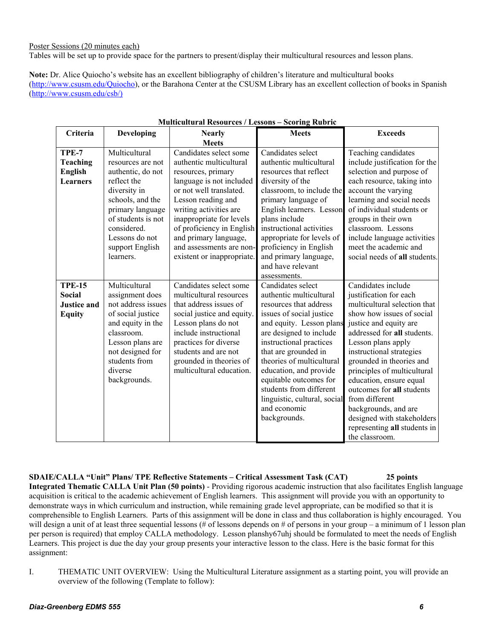Poster Sessions (20 minutes each)

Tables will be set up to provide space for the partners to present/display their multicultural resources and lesson plans.

**Note:** Dr. Alice Quiocho's website has an excellent bibliography of children's literature and multicultural books (http://www.csusm.edu/Quiocho), or the Barahona Center at the CSUSM Library has an excellent collection of books in Spanish (http://www.csusm.edu/csb/)

| Criteria           | Developing         | <b>Nearly</b>              | <b>Meets</b>                 | <b>Exceeds</b>                |
|--------------------|--------------------|----------------------------|------------------------------|-------------------------------|
|                    |                    | <b>Meets</b>               |                              |                               |
| TPE-7              | Multicultural      | Candidates select some     | Candidates select            | Teaching candidates           |
| <b>Teaching</b>    | resources are not  | authentic multicultural    | authentic multicultural      | include justification for the |
| <b>English</b>     | authentic, do not  | resources, primary         | resources that reflect       | selection and purpose of      |
| Learners           | reflect the        | language is not included   | diversity of the             | each resource, taking into    |
|                    | diversity in       | or not well translated.    | classroom, to include the    | account the varying           |
|                    | schools, and the   | Lesson reading and         | primary language of          | learning and social needs     |
|                    | primary language   | writing activities are     | English learners. Lesson     | of individual students or     |
|                    | of students is not | inappropriate for levels   | plans include                | groups in their own           |
|                    | considered.        | of proficiency in English  | instructional activities     | classroom. Lessons            |
|                    | Lessons do not     | and primary language,      | appropriate for levels of    | include language activities   |
|                    | support English    | and assessments are non-   | proficiency in English       | meet the academic and         |
|                    | learners.          | existent or inappropriate. | and primary language,        | social needs of all students. |
|                    |                    |                            | and have relevant            |                               |
|                    |                    |                            | assessments.                 |                               |
| <b>TPE-15</b>      | Multicultural      | Candidates select some     | Candidates select            | Candidates include            |
| <b>Social</b>      | assignment does    | multicultural resources    | authentic multicultural      | justification for each        |
| <b>Justice and</b> | not address issues | that address issues of     | resources that address       | multicultural selection that  |
| <b>Equity</b>      | of social justice  | social justice and equity. | issues of social justice     | show how issues of social     |
|                    | and equity in the  | Lesson plans do not        | and equity. Lesson plans     | justice and equity are        |
|                    | classroom.         | include instructional      | are designed to include      | addressed for all students.   |
|                    | Lesson plans are   | practices for diverse      | instructional practices      | Lesson plans apply            |
|                    | not designed for   | students and are not       | that are grounded in         | instructional strategies      |
|                    | students from      | grounded in theories of    | theories of multicultural    | grounded in theories and      |
|                    | diverse            | multicultural education.   | education, and provide       | principles of multicultural   |
|                    | backgrounds.       |                            | equitable outcomes for       | education, ensure equal       |
|                    |                    |                            | students from different      | outcomes for all students     |
|                    |                    |                            | linguistic, cultural, social | from different                |
|                    |                    |                            | and economic                 | backgrounds, and are          |
|                    |                    |                            | backgrounds.                 | designed with stakeholders    |
|                    |                    |                            |                              | representing all students in  |
|                    |                    |                            |                              | the classroom.                |

#### **Multicultural Resources / Lessons – Scoring Rubric**

**SDAIE/CALLA "Unit" Plans/ TPE Reflective Statements – Critical Assessment Task (CAT) 25 points** 

**Integrated Thematic CALLA Unit Plan (50 points)** - Providing rigorous academic instruction that also facilitates English language acquisition is critical to the academic achievement of English learners. This assignment will provide you with an opportunity to demonstrate ways in which curriculum and instruction, while remaining grade level appropriate, can be modified so that it is comprehensible to English Learners. Parts of this assignment will be done in class and thus collaboration is highly encouraged. You will design a unit of at least three sequential lessons (# of lessons depends on # of persons in your group – a minimum of 1 lesson plan per person is required) that employ CALLA methodology. Lesson planshy67uhj should be formulated to meet the needs of English Learners. This project is due the day your group presents your interactive lesson to the class. Here is the basic format for this assignment:

I. THEMATIC UNIT OVERVIEW: Using the Multicultural Literature assignment as a starting point, you will provide an overview of the following (Template to follow):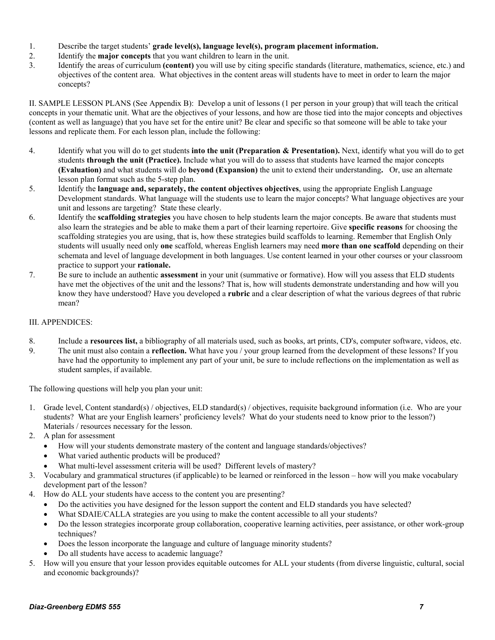- 1. Describe the target students' **grade level(s), language level(s), program placement information.**
- 2. Identify the **major concepts** that you want children to learn in the unit.
- 3. Identify the areas of curriculum **(content)** you will use by citing specific standards (literature, mathematics, science, etc.) and objectives of the content area. What objectives in the content areas will students have to meet in order to learn the major concepts?

II. SAMPLE LESSON PLANS (See Appendix B): Develop a unit of lessons (1 per person in your group) that will teach the critical concepts in your thematic unit. What are the objectives of your lessons, and how are those tied into the major concepts and objectives (content as well as language) that you have set for the entire unit? Be clear and specific so that someone will be able to take your lessons and replicate them. For each lesson plan, include the following:

- 4. Identify what you will do to get students **into the unit (Preparation & Presentation).** Next, identify what you will do to get students **through the unit (Practice).** Include what you will do to assess that students have learned the major concepts **(Evaluation)** and what students will do **beyond (Expansion)** the unit to extend their understanding**.** Or, use an alternate lesson plan format such as the 5-step plan.
- 5. Identify the **language and, separately, the content objectives objectives**, using the appropriate English Language Development standards. What language will the students use to learn the major concepts? What language objectives are your unit and lessons are targeting? State these clearly.
- 6. Identify the **scaffolding strategies** you have chosen to help students learn the major concepts. Be aware that students must also learn the strategies and be able to make them a part of their learning repertoire. Give **specific reasons** for choosing the scaffolding strategies you are using, that is, how these strategies build scaffolds to learning. Remember that English Only students will usually need only **one** scaffold, whereas English learners may need **more than one scaffold** depending on their schemata and level of language development in both languages. Use content learned in your other courses or your classroom practice to support your **rationale.**
- 7. Be sure to include an authentic **assessment** in your unit (summative or formative). How will you assess that ELD students have met the objectives of the unit and the lessons? That is, how will students demonstrate understanding and how will you know they have understood? Have you developed a **rubric** and a clear description of what the various degrees of that rubric mean?

## III. APPENDICES:

- 8. Include a **resources list,** a bibliography of all materials used, such as books, art prints, CD's, computer software, videos, etc.
- 9. The unit must also contain a **reflection.** What have you / your group learned from the development of these lessons? If you have had the opportunity to implement any part of your unit, be sure to include reflections on the implementation as well as student samples, if available.

The following questions will help you plan your unit:

- 1. Grade level, Content standard(s) / objectives, ELD standard(s) / objectives, requisite background information (i.e. Who are your students? What are your English learners' proficiency levels? What do your students need to know prior to the lesson?) Materials / resources necessary for the lesson.
- 2. A plan for assessment
	- How will your students demonstrate mastery of the content and language standards/objectives?
	- What varied authentic products will be produced?
	- What multi-level assessment criteria will be used? Different levels of mastery?
- 3. Vocabulary and grammatical structures (if applicable) to be learned or reinforced in the lesson how will you make vocabulary development part of the lesson?
- 4. How do ALL your students have access to the content you are presenting?
	- Do the activities you have designed for the lesson support the content and ELD standards you have selected?
	- What SDAIE/CALLA strategies are you using to make the content accessible to all your students?
	- Do the lesson strategies incorporate group collaboration, cooperative learning activities, peer assistance, or other work-group techniques?
	- Does the lesson incorporate the language and culture of language minority students?
	- Do all students have access to academic language?
- 5. How will you ensure that your lesson provides equitable outcomes for ALL your students (from diverse linguistic, cultural, social and economic backgrounds)?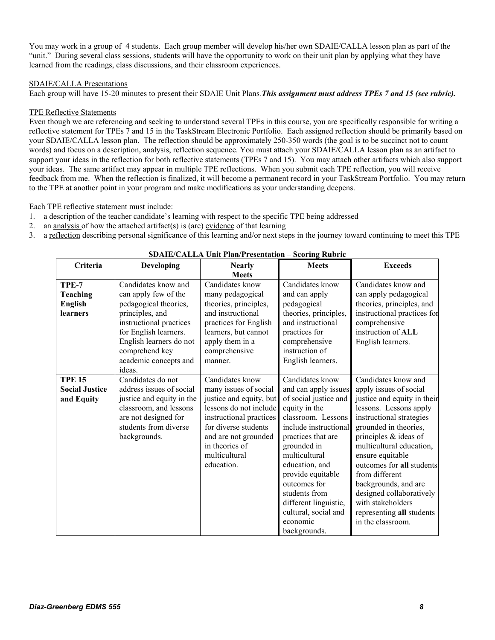You may work in a group of 4 students. Each group member will develop his/her own SDAIE/CALLA lesson plan as part of the "unit." During several class sessions, students will have the opportunity to work on their unit plan by applying what they have learned from the readings, class discussions, and their classroom experiences.

## SDAIE/CALLA Presentations

Each group will have 15-20 minutes to present their SDAIE Unit Plans*.This assignment must address TPEs 7 and 15 (see rubric).*

## TPE Reflective Statements

Even though we are referencing and seeking to understand several TPEs in this course, you are specifically responsible for writing a reflective statement for TPEs 7 and 15 in the TaskStream Electronic Portfolio. Each assigned reflection should be primarily based on your SDAIE/CALLA lesson plan. The reflection should be approximately 250-350 words (the goal is to be succinct not to count words) and focus on a description, analysis, reflection sequence. You must attach your SDAIE/CALLA lesson plan as an artifact to support your ideas in the reflection for both reflective statements (TPEs 7 and 15). You may attach other artifacts which also support your ideas. The same artifact may appear in multiple TPE reflections. When you submit each TPE reflection, you will receive feedback from me. When the reflection is finalized, it will become a permanent record in your TaskStream Portfolio. You may return to the TPE at another point in your program and make modifications as your understanding deepens.

Each TPE reflective statement must include:

- 1. a description of the teacher candidate's learning with respect to the specific TPE being addressed
- 2. an analysis of how the attached artifact(s) is (are) evidence of that learning
- 3. a reflection describing personal significance of this learning and/or next steps in the journey toward continuing to meet this TPE

| Criteria                                               | Developing                                                                                                                                                                                                                  | <b>Nearly</b>                                                                                                                                                                                                             | <b>Meets</b>                                                                                                                                                                                                                                                                                                                                | <b>Exceeds</b>                                                                                                                                                                                                                                                                                                                                                                                                   |
|--------------------------------------------------------|-----------------------------------------------------------------------------------------------------------------------------------------------------------------------------------------------------------------------------|---------------------------------------------------------------------------------------------------------------------------------------------------------------------------------------------------------------------------|---------------------------------------------------------------------------------------------------------------------------------------------------------------------------------------------------------------------------------------------------------------------------------------------------------------------------------------------|------------------------------------------------------------------------------------------------------------------------------------------------------------------------------------------------------------------------------------------------------------------------------------------------------------------------------------------------------------------------------------------------------------------|
|                                                        |                                                                                                                                                                                                                             | <b>Meets</b>                                                                                                                                                                                                              |                                                                                                                                                                                                                                                                                                                                             |                                                                                                                                                                                                                                                                                                                                                                                                                  |
| TPE-7<br><b>Teaching</b><br><b>English</b><br>learners | Candidates know and<br>can apply few of the<br>pedagogical theories,<br>principles, and<br>instructional practices<br>for English learners.<br>English learners do not<br>comprehend key<br>academic concepts and<br>ideas. | Candidates know<br>many pedagogical<br>theories, principles,<br>and instructional<br>practices for English<br>learners, but cannot<br>apply them in a<br>comprehensive<br>manner.                                         | Candidates know<br>and can apply<br>pedagogical<br>theories, principles,<br>and instructional<br>practices for<br>comprehensive<br>instruction of<br>English learners.                                                                                                                                                                      | Candidates know and<br>can apply pedagogical<br>theories, principles, and<br>instructional practices for<br>comprehensive<br>instruction of ALL<br>English learners.                                                                                                                                                                                                                                             |
| <b>TPE 15</b><br><b>Social Justice</b><br>and Equity   | Candidates do not<br>address issues of social<br>justice and equity in the<br>classroom, and lessons<br>are not designed for<br>students from diverse<br>backgrounds.                                                       | Candidates know<br>many issues of social<br>justice and equity, but<br>lessons do not include<br>instructional practices<br>for diverse students<br>and are not grounded<br>in theories of<br>multicultural<br>education. | Candidates know<br>and can apply issues<br>of social justice and<br>equity in the<br>classroom. Lessons<br>include instructional<br>practices that are<br>grounded in<br>multicultural<br>education, and<br>provide equitable<br>outcomes for<br>students from<br>different linguistic,<br>cultural, social and<br>economic<br>backgrounds. | Candidates know and<br>apply issues of social<br>justice and equity in their<br>lessons. Lessons apply<br>instructional strategies<br>grounded in theories,<br>principles $&$ ideas of<br>multicultural education,<br>ensure equitable<br>outcomes for all students<br>from different<br>backgrounds, and are<br>designed collaboratively<br>with stakeholders<br>representing all students<br>in the classroom. |

**SDAIE/CALLA Unit Plan/Presentation – Scoring Rubric**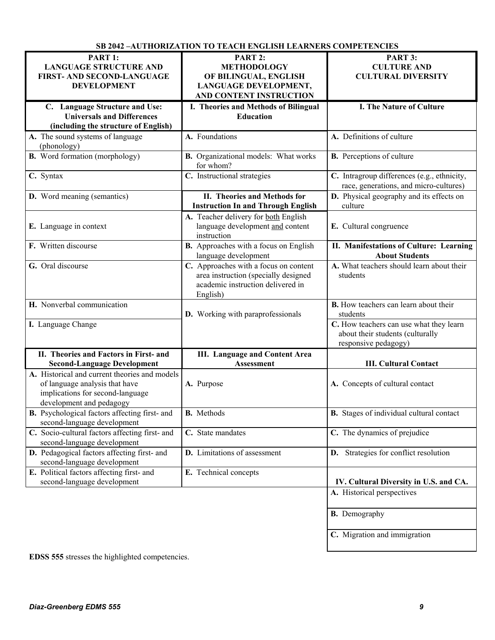|                                                                                                                                                 | 3D 2042 TAU LIIUNIZM LUU I LO TEACH ENGLISH LEANNENS COMI ETENCIES                                                             |                                                                                                     |
|-------------------------------------------------------------------------------------------------------------------------------------------------|--------------------------------------------------------------------------------------------------------------------------------|-----------------------------------------------------------------------------------------------------|
| PART 1:                                                                                                                                         | PART 2:                                                                                                                        | PART 3:                                                                                             |
| <b>LANGUAGE STRUCTURE AND</b>                                                                                                                   | <b>METHODOLOGY</b>                                                                                                             | <b>CULTURE AND</b>                                                                                  |
| FIRST- AND SECOND-LANGUAGE                                                                                                                      | OF BILINGUAL, ENGLISH                                                                                                          | <b>CULTURAL DIVERSITY</b>                                                                           |
| <b>DEVELOPMENT</b>                                                                                                                              | LANGUAGE DEVELOPMENT,                                                                                                          |                                                                                                     |
|                                                                                                                                                 | AND CONTENT INSTRUCTION                                                                                                        |                                                                                                     |
|                                                                                                                                                 |                                                                                                                                |                                                                                                     |
| C. Language Structure and Use:                                                                                                                  | I. Theories and Methods of Bilingual                                                                                           | I. The Nature of Culture                                                                            |
| <b>Universals and Differences</b>                                                                                                               | <b>Education</b>                                                                                                               |                                                                                                     |
| (including the structure of English)                                                                                                            |                                                                                                                                |                                                                                                     |
| A. The sound systems of language<br>(phonology)                                                                                                 | A. Foundations                                                                                                                 | A. Definitions of culture                                                                           |
| <b>B.</b> Word formation (morphology)                                                                                                           | <b>B.</b> Organizational models: What works<br>for whom?                                                                       | <b>B.</b> Perceptions of culture                                                                    |
| C. Syntax                                                                                                                                       | C. Instructional strategies                                                                                                    | C. Intragroup differences (e.g., ethnicity,<br>race, generations, and micro-cultures)               |
| <b>D.</b> Word meaning (semantics)                                                                                                              | II. Theories and Methods for                                                                                                   | D. Physical geography and its effects on                                                            |
|                                                                                                                                                 | <b>Instruction In and Through English</b>                                                                                      | culture                                                                                             |
| E. Language in context                                                                                                                          | A. Teacher delivery for both English<br>language development and content<br>instruction                                        | E. Cultural congruence                                                                              |
| F. Written discourse                                                                                                                            | B. Approaches with a focus on English<br>language development                                                                  | II. Manifestations of Culture: Learning<br><b>About Students</b>                                    |
| G. Oral discourse                                                                                                                               | C. Approaches with a focus on content<br>area instruction (specially designed<br>academic instruction delivered in<br>English) | A. What teachers should learn about their<br>students                                               |
| H. Nonverbal communication                                                                                                                      | D. Working with paraprofessionals                                                                                              | <b>B.</b> How teachers can learn about their<br>students                                            |
| I. Language Change                                                                                                                              |                                                                                                                                | C. How teachers can use what they learn<br>about their students (culturally<br>responsive pedagogy) |
| II. Theories and Factors in First- and                                                                                                          | <b>III.</b> Language and Content Area                                                                                          |                                                                                                     |
| <b>Second-Language Development</b>                                                                                                              | Assessment                                                                                                                     | <b>III. Cultural Contact</b>                                                                        |
| A. Historical and current theories and models<br>of language analysis that have<br>implications for second-language<br>development and pedagogy | A. Purpose                                                                                                                     | A. Concepts of cultural contact                                                                     |
| <b>B.</b> Psychological factors affecting first- and<br>second-language development                                                             | <b>B.</b> Methods                                                                                                              | <b>B.</b> Stages of individual cultural contact                                                     |
| C. Socio-cultural factors affecting first- and<br>second-language development                                                                   | C. State mandates                                                                                                              | C. The dynamics of prejudice                                                                        |
| D. Pedagogical factors affecting first- and<br>second-language development                                                                      | D. Limitations of assessment                                                                                                   | D. Strategies for conflict resolution                                                               |
| E. Political factors affecting first- and<br>second-language development                                                                        | E. Technical concepts                                                                                                          | IV. Cultural Diversity in U.S. and CA.                                                              |
|                                                                                                                                                 |                                                                                                                                | A. Historical perspectives                                                                          |
|                                                                                                                                                 |                                                                                                                                | <b>B.</b> Demography                                                                                |
|                                                                                                                                                 |                                                                                                                                | C. Migration and immigration                                                                        |
|                                                                                                                                                 |                                                                                                                                |                                                                                                     |

**EDSS 555** stresses the highlighted competencies.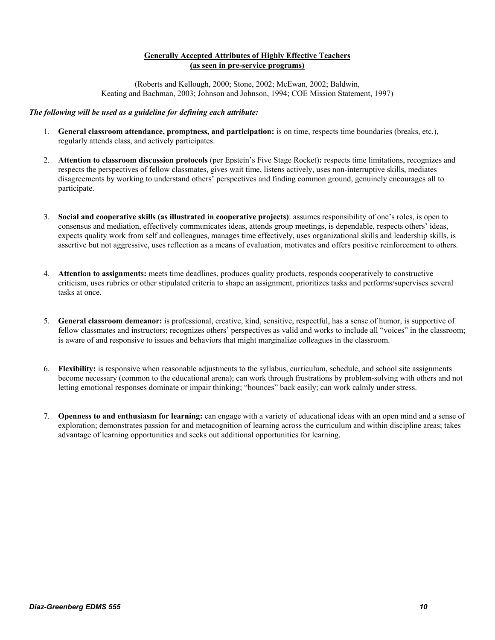## **Generally Accepted Attributes of Highly Effective Teachers (as seen in pre-service programs)**

(Roberts and Kellough, 2000; Stone, 2002; McEwan, 2002; Baldwin, Keating and Bachman, 2003; Johnson and Johnson, 1994; COE Mission Statement, 1997)

#### *The following will be used as a guideline for defining each attribute:*

- 1. **General classroom attendance, promptness, and participation:** is on time, respects time boundaries (breaks, etc.), regularly attends class, and actively participates.
- 2. **Attention to classroom discussion protocols** (per Epstein's Five Stage Rocket)**:** respects time limitations, recognizes and respects the perspectives of fellow classmates, gives wait time, listens actively, uses non-interruptive skills, mediates disagreements by working to understand others' perspectives and finding common ground, genuinely encourages all to participate.
- 3. **Social and cooperative skills (as illustrated in cooperative projects)**: assumes responsibility of one's roles, is open to consensus and mediation, effectively communicates ideas, attends group meetings, is dependable, respects others' ideas, expects quality work from self and colleagues, manages time effectively, uses organizational skills and leadership skills, is assertive but not aggressive, uses reflection as a means of evaluation, motivates and offers positive reinforcement to others.
- 4. **Attention to assignments:** meets time deadlines, produces quality products, responds cooperatively to constructive criticism, uses rubrics or other stipulated criteria to shape an assignment, prioritizes tasks and performs/supervises several tasks at once.
- 5. **General classroom demeanor:** is professional, creative, kind, sensitive, respectful, has a sense of humor, is supportive of fellow classmates and instructors; recognizes others' perspectives as valid and works to include all "voices" in the classroom; is aware of and responsive to issues and behaviors that might marginalize colleagues in the classroom.
- 6. **Flexibility:** is responsive when reasonable adjustments to the syllabus, curriculum, schedule, and school site assignments become necessary (common to the educational arena); can work through frustrations by problem-solving with others and not letting emotional responses dominate or impair thinking; "bounces" back easily; can work calmly under stress.
- 7. **Openness to and enthusiasm for learning:** can engage with a variety of educational ideas with an open mind and a sense of exploration; demonstrates passion for and metacognition of learning across the curriculum and within discipline areas; takes advantage of learning opportunities and seeks out additional opportunities for learning.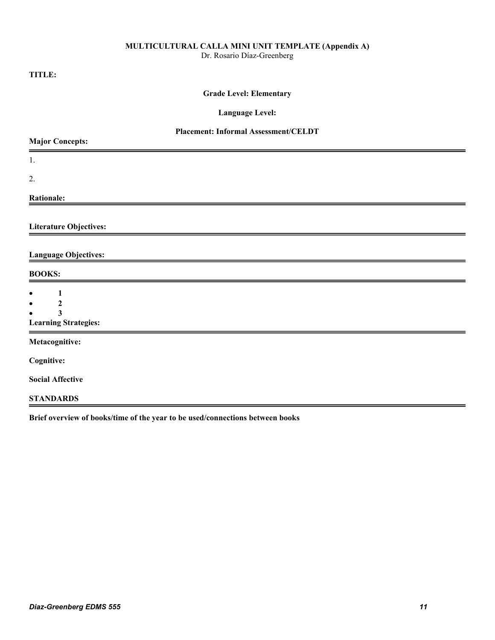#### **MULTICULTURAL CALLA MINI UNIT TEMPLATE (Appendix A)**

Dr. Rosario Díaz-Greenberg

# **TITLE:**

# **Grade Level: Elementary**

**Language Level:** 

# **Placement: Informal Assessment/CELDT**

| <b>Major Concepts:</b>                                                        |  |
|-------------------------------------------------------------------------------|--|
| 1.                                                                            |  |
| 2.                                                                            |  |
| <b>Rationale:</b>                                                             |  |
| <b>Literature Objectives:</b>                                                 |  |
| <b>Language Objectives:</b>                                                   |  |
| <b>BOOKS:</b>                                                                 |  |
| 1<br>$\bullet$<br>2<br>$\bullet$<br>3<br><b>Learning Strategies:</b>          |  |
| Metacognitive:                                                                |  |
| <b>Cognitive:</b>                                                             |  |
| <b>Social Affective</b>                                                       |  |
| <b>STANDARDS</b>                                                              |  |
| Brief overview of books/time of the year to be used/connections between books |  |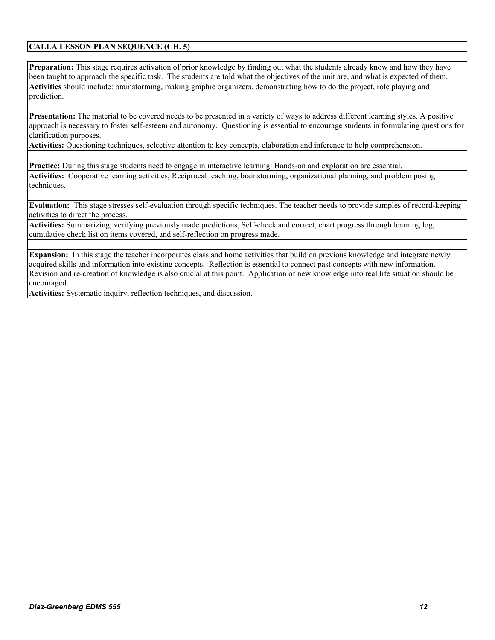# **CALLA LESSON PLAN SEQUENCE (CH. 5)**

**Preparation:** This stage requires activation of prior knowledge by finding out what the students already know and how they have been taught to approach the specific task. The students are told what the objectives of the unit are, and what is expected of them. **Activities** should include: brainstorming, making graphic organizers, demonstrating how to do the project, role playing and prediction.

**Presentation:** The material to be covered needs to be presented in a variety of ways to address different learning styles. A positive approach is necessary to foster self-esteem and autonomy. Questioning is essential to encourage students in formulating questions for clarification purposes.

**Activities:** Questioning techniques, selective attention to key concepts, elaboration and inference to help comprehension.

**Practice:** During this stage students need to engage in interactive learning. Hands-on and exploration are essential. **Activities:** Cooperative learning activities, Reciprocal teaching, brainstorming, organizational planning, and problem posing techniques.

**Evaluation:** This stage stresses self-evaluation through specific techniques. The teacher needs to provide samples of record-keeping activities to direct the process.

**Activities:** Summarizing, verifying previously made predictions, Self-check and correct, chart progress through learning log, cumulative check list on items covered, and self-reflection on progress made.

**Expansion:** In this stage the teacher incorporates class and home activities that build on previous knowledge and integrate newly acquired skills and information into existing concepts. Reflection is essential to connect past concepts with new information. Revision and re-creation of knowledge is also crucial at this point. Application of new knowledge into real life situation should be encouraged.

**Activities:** Systematic inquiry, reflection techniques, and discussion.